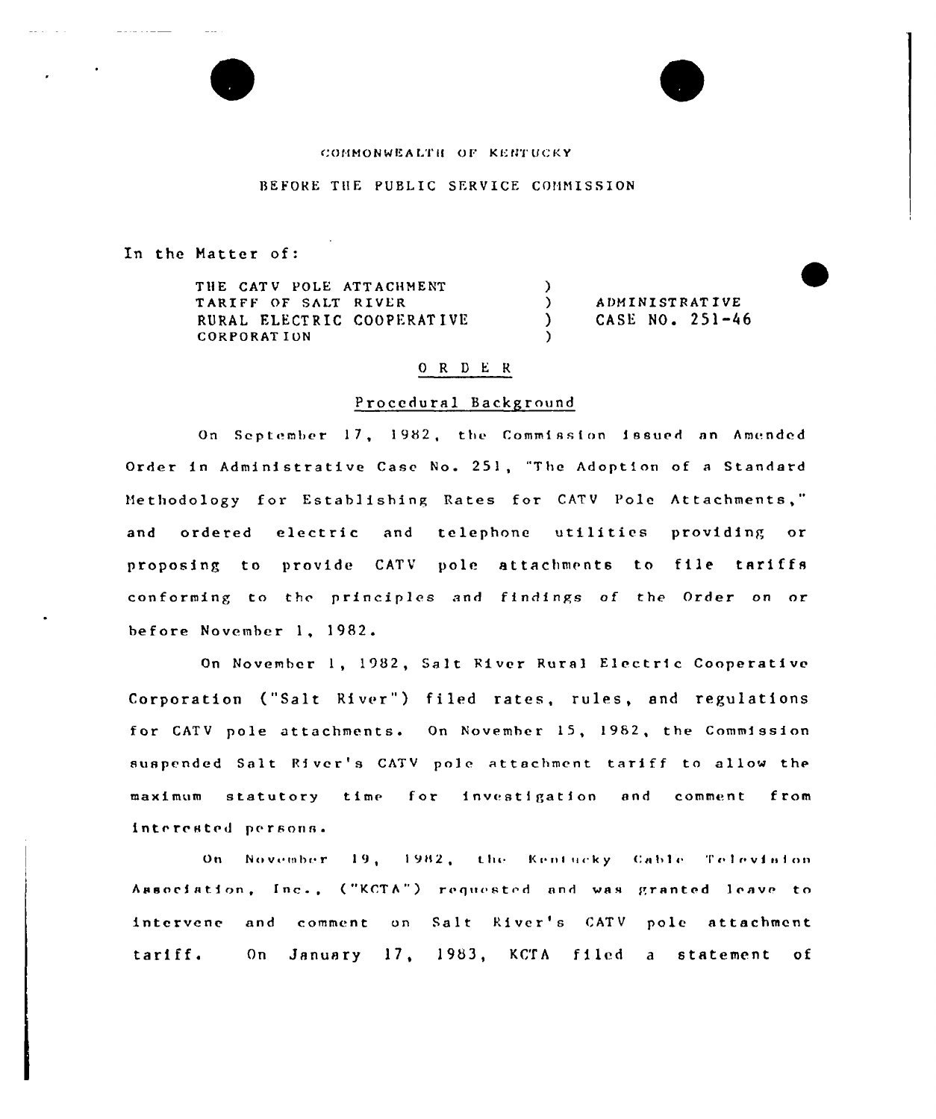#### COMMONWEALTH OF KENTUCKY

## BEFORE THE PUBLIC SERVICE COMMISSION

In the Matter of:

 $\omega = \omega_{\rm{max}}$  ,  $\omega = \omega_{\rm{max}}$ 

. . . . . . . . <u>. . . . .</u>

THE CATV POLE ATTACHMENT TARIFF OF SALT RIVER RURAL ELECTRIC COOPERATIVE **CORPORATION** 

**ADMINISTRATIVE** CASE NO. 251-46

## ORDER

 $\lambda$ 

 $\lambda$ 

 $\lambda$ 

## Procedural Background

On September 17, 1982, the Commission issued an Amended Order in Administrative Case No. 251, "The Adoption of a Standard Methodology for Establishing Rates for CATV Pole Attachments," ordered electric and telephone utilities providing or and proposing to provide CATV pole attachments to file tariffs conforming to the principles and findings of the Order on or before November 1, 1982.

On November 1, 1982, Salt River Rural Electric Cooperative Corporation ("Salt River") filed rates, rules, and regulations for CATV pole attachments. On November 15, 1982, the Commission suspended Salt River's CATV pole attachment tariff to allow the maximum statutory time for investigation and comment from interested persons.

On November 19, 1982, the Kentucky Cable Television Association, Inc., ("KCTA") requested and was granted leave to intervene and comment on Salt River's CATV pole attachment On January 17, 1983, KCTA filed a statement of tariff.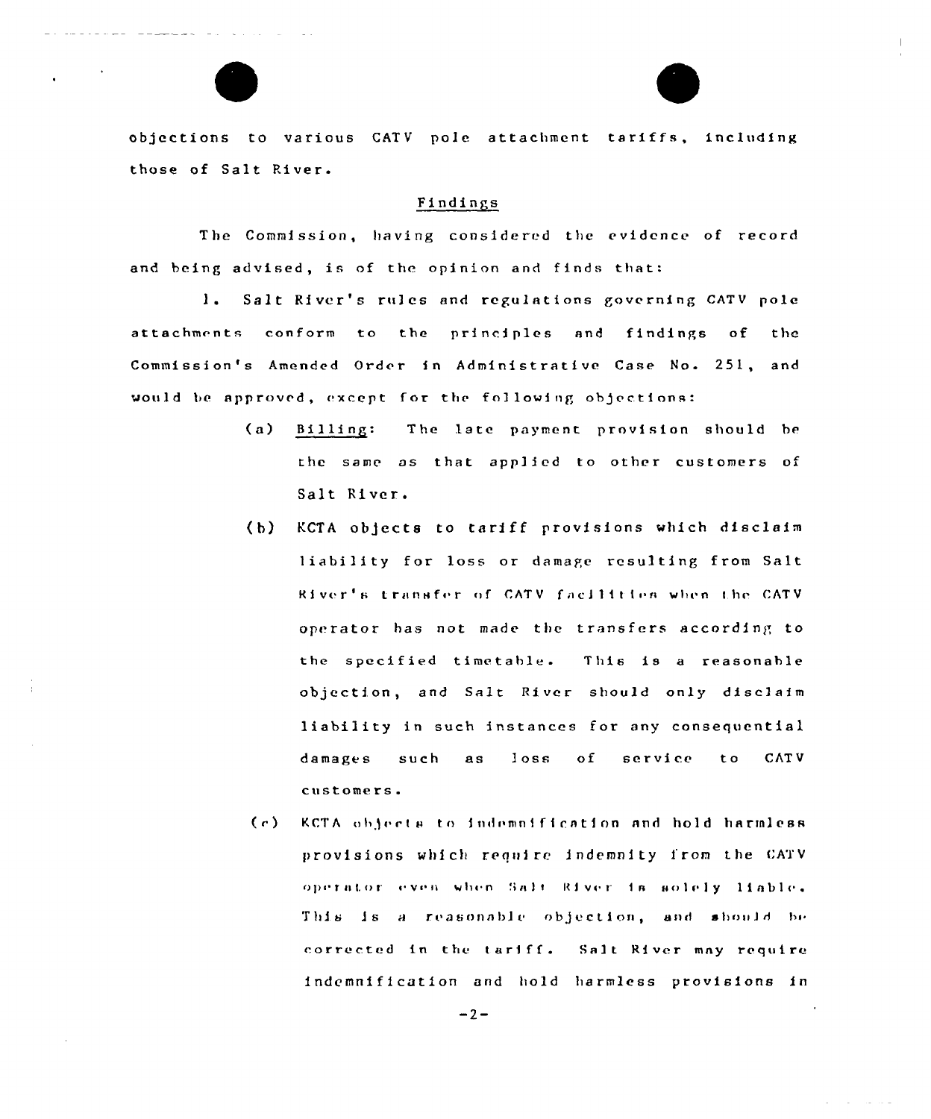

objections to various CATV pole attachment tariffs, including those of Salt River.

# Findings

The Commission, having considered the evidence of record and being advised, is of the opinion and finds that:

1. Salt River's rules and regulations governing CATV pole attachments conform to the principles and findings of the Commission's Amended Order in Administrative Case No. 251, and would be approved, except for the following objections:

- $(a)$ Billing: The late payment provision should be the same as that applied to other customers of Salt River.
- KCTA objects to tariff provisions which disclaim  $(b)$ liability for loss or damage resulting from Salt River's transfer of CATV facilities when the CATV operator has not made the transfers according to the specified timetable. This is a reasonable objection, and Salt River should only disclaim liability in such instances for any consequential damages such  $loss$  $\circ$  f service t o **CATV** as customers.
- KCTA objects to indemnification and hold harmless  $(c)$ provisions which require indemnity from the CATV operator even when Salt River is solely liable. This is a reasonable objection, and should be corrected in the tariff. Salt River may require indemnification and hold harmless provisions in

 $-2-$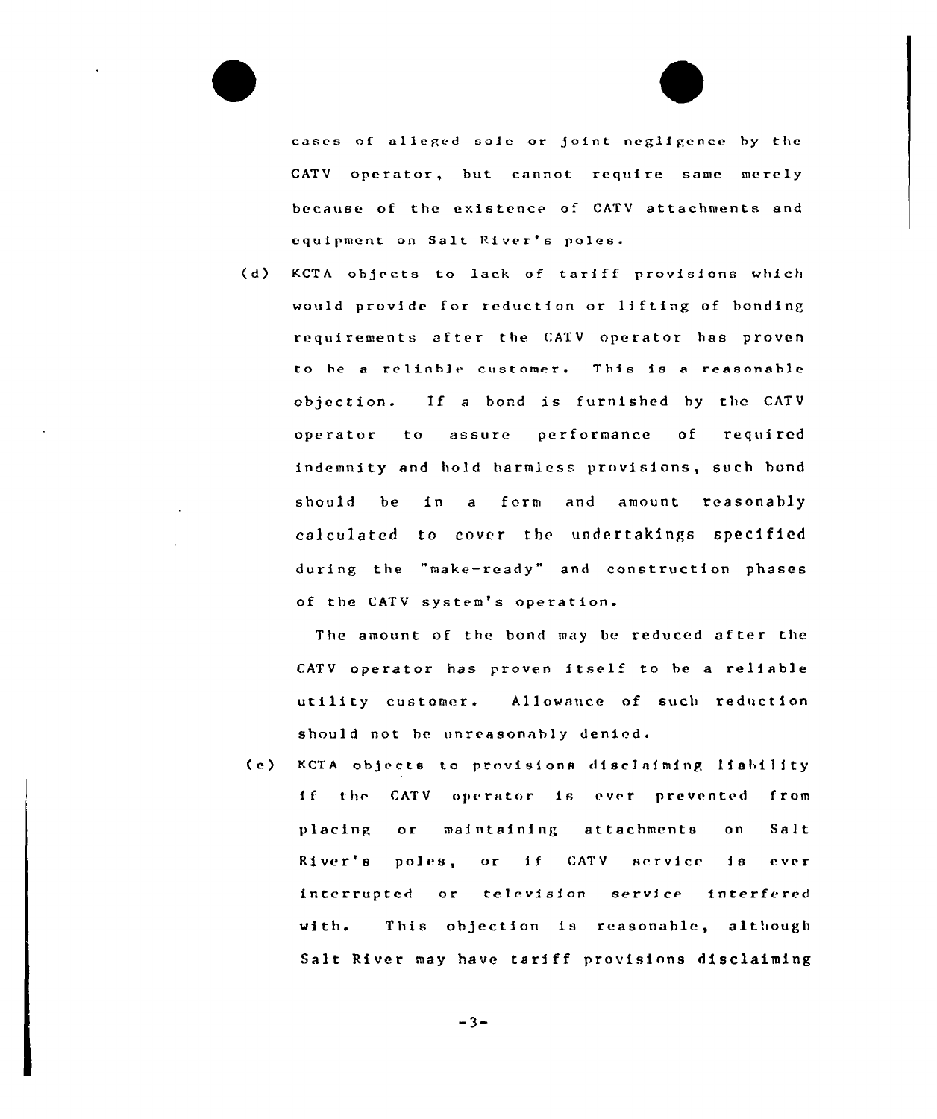cases of alleged sole or joint negligence by the CATV operator, but cannot require same merely because of the existence of CATV attachments and equipment on Salt River's pales.

(d) KCTA objects to lack of tarfff provisions which would provide for reduction or lifting of bonding requirements after the CATV operator has proven to be a reliable customer. This is a reasonable objection. If a bond is furnished by the CATV operator to assure performance of required indemnity and hold harmless provisions, such bond should be in a form and amount reasonably calculated to cover the undertakings specified during the "make-ready" and construction phases of the CATV system's operation.

The amount of the bond may be reduced after the CATV operator has proven itself to be a reliable utility customer. Allowance of such reduction should not he unreasonably denied.

(e) KCTA objects to provisions disclaiming liability If the CATV operator is ever prevented from placing or maintaining attachments on Salt River's poles, or if CATV service is ever interrupted or television service interfered with. This objection is reasonable, although Salt River may have tariff provisions disclaiming

 $-3-$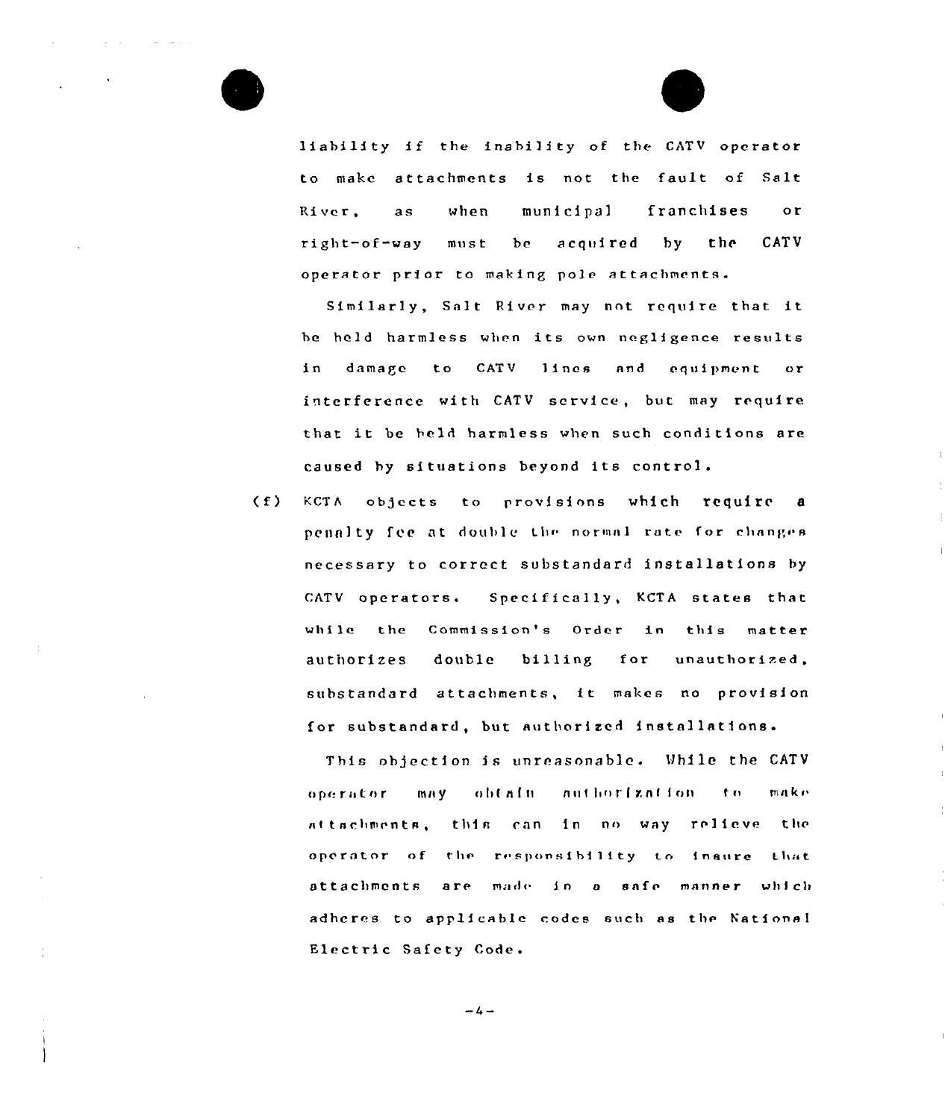liability if the inability of the CATV operator to make attachments is not the fault of Salt River.  $2S$ when municipal franchises  $\alpha$ r CATV right-of-way  $must$  $be$ acouired  $b$  v  $the$ operator prior to making pole attachments.

Similarly, Salt River may not require that it be held harmless when its own negligence results in damage to CATV lines and equipment or interference with CATV service, but may require that it be held harmless when such conditions are caused by situations beyond its control.

 $(f)$ KCTA objects to provisions which require a penalty fee at double the normal rate for changes necessary to correct substandard installations by CATV operators. Specifically, KCTA states that while the Commission's Order in this matter authorizes double billing for unauthorized, substandard attachments, it makes no provision for substandard, but authorized installations.

This objection is unreasonable. While the CATV operator may obtain authorization to make attachments, this can in no way relieve the operator of the responsibility to inaure that attachments are made in a safe manner which adheres to applicable codes such as the National Electric Safety Code.

 $-4-$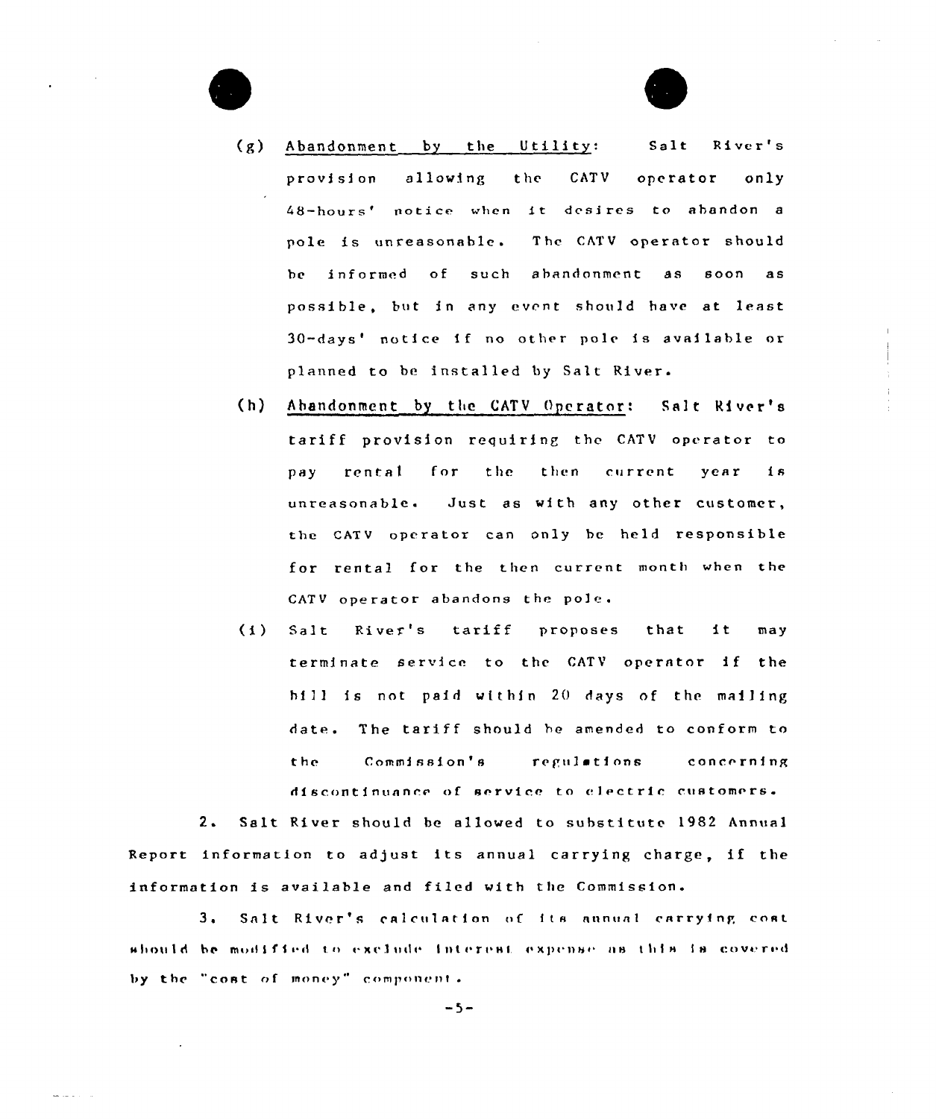

- (g) Abandonment by the Utility: Salt River's provision allowing the CATV operator only 48-hours' notice when it desires to abandon a pole is unreasonable. The CATV operator should be informed of such abandonment as soon as possible, but in any event should have at least 30-days' notice if no other pole is available or planned to be installed by Salt River.
- (h) Abandonment by the CATV Operator: Salt River's tariff provision requiring the CATV operator to pay rental for the then current year is unreasonable. Just as with any other customer, the CATV operator can only be held responsible for rental for the then current month when the CATV operator abandons the po]e.
- (i) Salt River's tariff proposes that it may terminate service to the CATV operator if the hi11 is not paid within 20 days of the mai1ing date. The tariff should he amended to conform to the. Commission's regulations concerning discontinuance of service to electric customers.

2. Salt River should be allowed to substitute 1982 Annual Report information to adjust its annual carrying charge, if the information is available and filed with the Commission.

3. Salt River's calculation of its annual carrying cost should be modified to exclude interest expense as this is covered by the "cost of money" component.

 $-5-$ 

- - - - -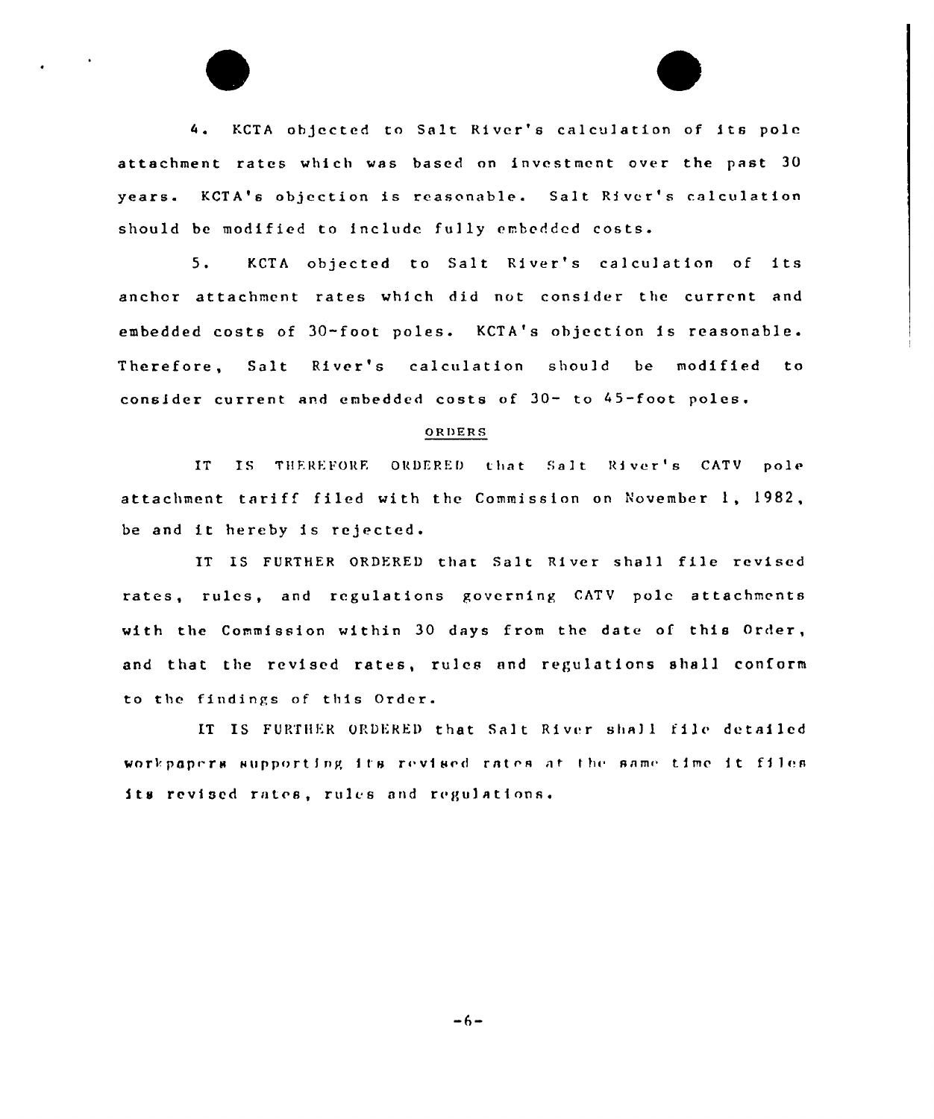4. KCTA objected to Salt River's calculation of its pole attachment rates which was based on investment over the past 30 years. KCTA's objection is reasonable. Salt River's calculation should be modified to include fully embedded costs.

5. KCTA objected to Salt River's calculation of its anchor attachment rates which did not consider the current and embedded costs of 30-foot poles. KCTA's objection is reasonable. Therefore, Salt River's calculation should be modified to consider current ard embedded costs of 30- to 45-foot poles.

#### oRDERS

IT IS THEREFORE ORDERED that Salt River's CATV pole attachment tariff filed with the Commission on November 1, 1982, be and it hereby is rejected.

IT IS FURTHER ORDERED that Salt River shall file revised rates, rules, and regulations governing CATV pole attachments with the Commission within 30 days from the date of this Order, and that the revised rates, rules and regulations shall conform to the findings of this Order.

IT IS FURTHER ORDERED that Salt River shall file detailed workpapers supporting its revised rates at the same time it files its revised rates, rules and regulations.

 $-6-$